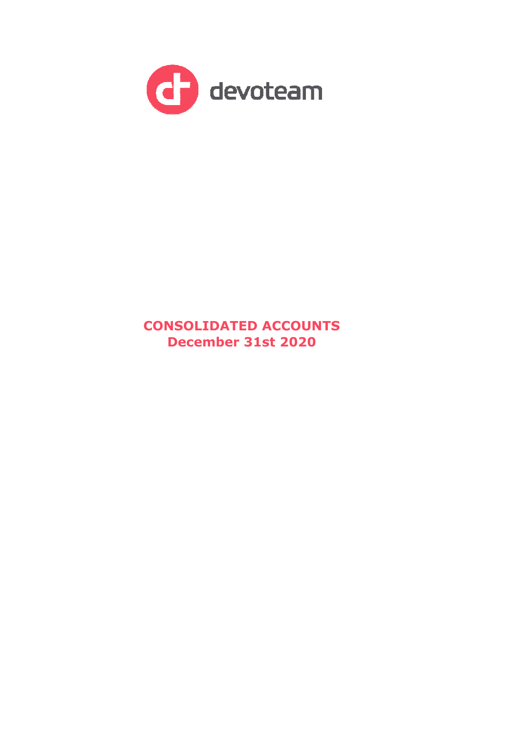

# **CONSOLIDATED ACCOUNTS December 31st 2020**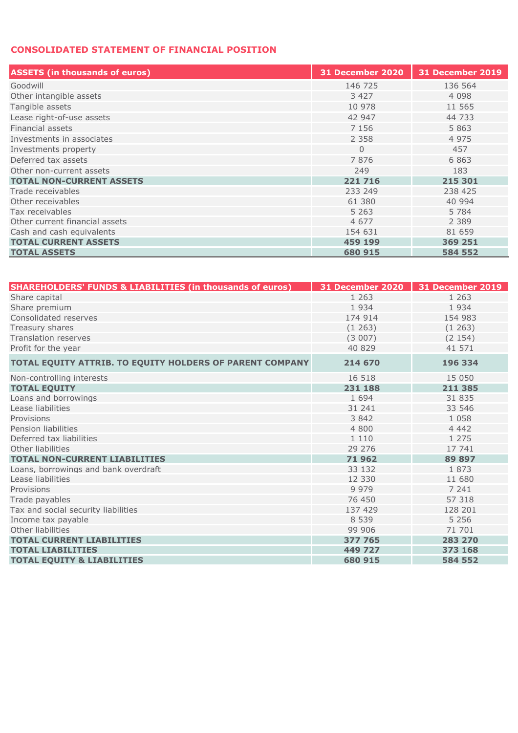## **CONSOLIDATED STATEMENT OF FINANCIAL POSITION**

| <b>ASSETS (in thousands of euros)</b> | <b>31 December 2020</b> | 31 December 2019 |
|---------------------------------------|-------------------------|------------------|
| Goodwill                              | 146 725                 | 136 564          |
| Other intangible assets               | 3 4 2 7                 | 4 0 9 8          |
| Tangible assets                       | 10 978                  | 11 565           |
| Lease right-of-use assets             | 42 947                  | 44 733           |
| Financial assets                      | 7 1 5 6                 | 5 8 6 3          |
| Investments in associates             | 2 3 5 8                 | 4 9 7 5          |
| Investments property                  | $\Omega$                | 457              |
| Deferred tax assets                   | 7876                    | 6863             |
| Other non-current assets              | 249                     | 183              |
| <b>TOTAL NON-CURRENT ASSETS</b>       | 221 716                 | 215 301          |
| Trade receivables                     | 233 249                 | 238 425          |
| Other receivables                     | 61 380                  | 40 994           |
| Tax receivables                       | 5 2 6 3                 | 5 7 8 4          |
| Other current financial assets        | 4 6 7 7                 | 2 3 8 9          |
| Cash and cash equivalents             | 154 631                 | 81 659           |
| <b>TOTAL CURRENT ASSETS</b>           | 459 199                 | 369 251          |
| <b>TOTAL ASSETS</b>                   | 680 915                 | 584 552          |

| <b>SHAREHOLDERS' FUNDS &amp; LIABILITIES (in thousands of euros)</b> | 31 December 2020 | 31 December 2019 |
|----------------------------------------------------------------------|------------------|------------------|
| Share capital                                                        | 1 2 6 3          | 1 2 6 3          |
| Share premium                                                        | 1934             | 1934             |
| Consolidated reserves                                                | 174 914          | 154 983          |
| Treasury shares                                                      | (1263)           | (1263)           |
| <b>Translation reserves</b>                                          | (3007)           | (2154)           |
| Profit for the year                                                  | 40 829           | 41 571           |
| TOTAL EQUITY ATTRIB. TO EQUITY HOLDERS OF PARENT COMPANY             | 214 670          | 196 334          |
| Non-controlling interests                                            | 16 518           | 15 050           |
| <b>TOTAL EOUITY</b>                                                  | 231 188          | 211 385          |
| Loans and borrowings                                                 | 1 6 9 4          | 31 835           |
| Lease liabilities                                                    | 31 241           | 33 546           |
| Provisions                                                           | 3842             | 1 0 5 8          |
| Pension liabilities                                                  | 4 800            | 4 4 4 2          |
| Deferred tax liabilities                                             | 1 1 1 0          | 1 2 7 5          |
| Other liabilities                                                    | 29 27 6          | 17 741           |
| <b>TOTAL NON-CURRENT LIABILITIES</b>                                 | 71962            | 89 897           |
| Loans, borrowings and bank overdraft                                 | 33 132           | 1873             |
| Lease liabilities                                                    | 12 330           | 11 680           |
| Provisions                                                           | 9 9 7 9          | 7 241            |
| Trade payables                                                       | 76 450           | 57 318           |
| Tax and social security liabilities                                  | 137 429          | 128 201          |
| Income tax payable                                                   | 8 5 3 9          | 5 2 5 6          |
| Other liabilities                                                    | 99 906           | 71 701           |
| <b>TOTAL CURRENT LIABILITIES</b>                                     | 377 765          | 283 270          |
| <b>TOTAL LIABILITIES</b>                                             | 449 727          | 373 168          |
| <b>TOTAL EQUITY &amp; LIABILITIES</b>                                | 680 915          | 584 552          |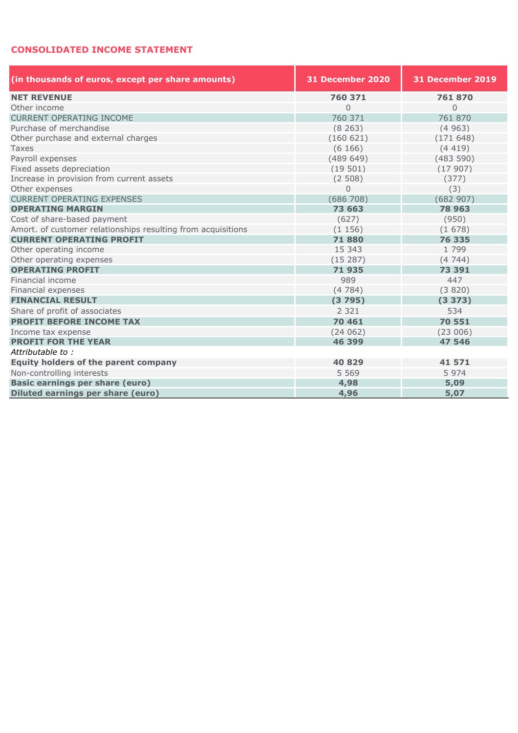### **CONSOLIDATED INCOME STATEMENT**

| (in thousands of euros, except per share amounts)            | 31 December 2020 | <b>31 December 2019</b> |  |  |
|--------------------------------------------------------------|------------------|-------------------------|--|--|
| <b>NET REVENUE</b>                                           | 760 371          | 761870                  |  |  |
| Other income                                                 | 0                | $\overline{0}$          |  |  |
| CURRENT OPERATING INCOME                                     | 760 371          | 761 870                 |  |  |
| Purchase of merchandise                                      | (8263)           | (4963)                  |  |  |
| Other purchase and external charges                          | (160621)         | (171648)                |  |  |
| <b>Taxes</b>                                                 | (6166)           | (4419)                  |  |  |
| Payroll expenses                                             | (489649)         | (483590)                |  |  |
| Fixed assets depreciation                                    | (19501)          | (17907)                 |  |  |
| Increase in provision from current assets                    | (2508)           | (377)                   |  |  |
| Other expenses                                               | $\Omega$         | (3)                     |  |  |
| <b>CURRENT OPERATING EXPENSES</b>                            | (686708)         | (682907)                |  |  |
| <b>OPERATING MARGIN</b>                                      | 73 663           | 78 963                  |  |  |
| Cost of share-based payment                                  | (627)            | (950)                   |  |  |
| Amort. of customer relationships resulting from acquisitions | (1156)           | (1678)                  |  |  |
| <b>CURRENT OPERATING PROFIT</b>                              | 71880            | 76 335                  |  |  |
| Other operating income                                       | 15 343           | 1799                    |  |  |
| Other operating expenses                                     | (15287)          | (474)                   |  |  |
| <b>OPERATING PROFIT</b>                                      | 71935            | 73 391                  |  |  |
| Financial income                                             | 989              | 447                     |  |  |
| Financial expenses                                           | (4784)           | (3820)                  |  |  |
| <b>FINANCIAL RESULT</b>                                      | (3795)           | (3373)                  |  |  |
| Share of profit of associates                                | 2 3 2 1          | 534                     |  |  |
| <b>PROFIT BEFORE INCOME TAX</b>                              | 70 461           | 70 551                  |  |  |
| Income tax expense                                           | (24062)          | (23006)                 |  |  |
| <b>PROFIT FOR THE YEAR</b>                                   | 46 399           | 47 546                  |  |  |
| Attributable to:                                             |                  |                         |  |  |
| <b>Equity holders of the parent company</b>                  | 40 829           | 41 571                  |  |  |
| Non-controlling interests                                    | 5 5 6 9          | 5974                    |  |  |
| <b>Basic earnings per share (euro)</b>                       | 4,98             | 5,09                    |  |  |
| Diluted earnings per share (euro)                            | 4,96             | 5,07                    |  |  |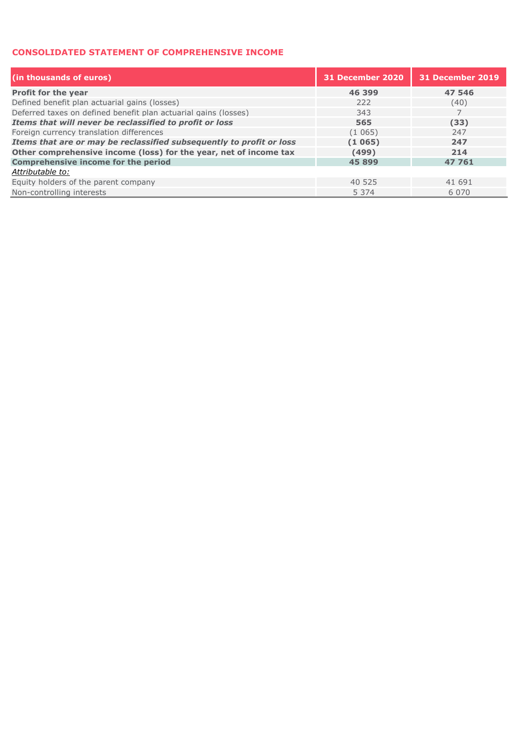#### **CONSOLIDATED STATEMENT OF COMPREHENSIVE INCOME**

| (in thousands of euros)                                              | 31 December 2020 | 31 December 2019 |
|----------------------------------------------------------------------|------------------|------------------|
| <b>Profit for the year</b>                                           | 46 399           | 47 546           |
| Defined benefit plan actuarial gains (losses)                        | 222              | (40)             |
| Deferred taxes on defined benefit plan actuarial gains (losses)      | 343              |                  |
| Items that will never be reclassified to profit or loss              | 565              | (33)             |
| Foreign currency translation differences                             | (1065)           | 247              |
| Items that are or may be reclassified subsequently to profit or loss | (1065)           | 247              |
| Other comprehensive income (loss) for the year, net of income tax    | (499)            | 214              |
| <b>Comprehensive income for the period</b>                           | 45 899           | 47 761           |
| Attributable to:                                                     |                  |                  |
| Equity holders of the parent company                                 | 40 525           | 41 691           |
| Non-controlling interests                                            | 5 3 7 4          | 6 0 7 0          |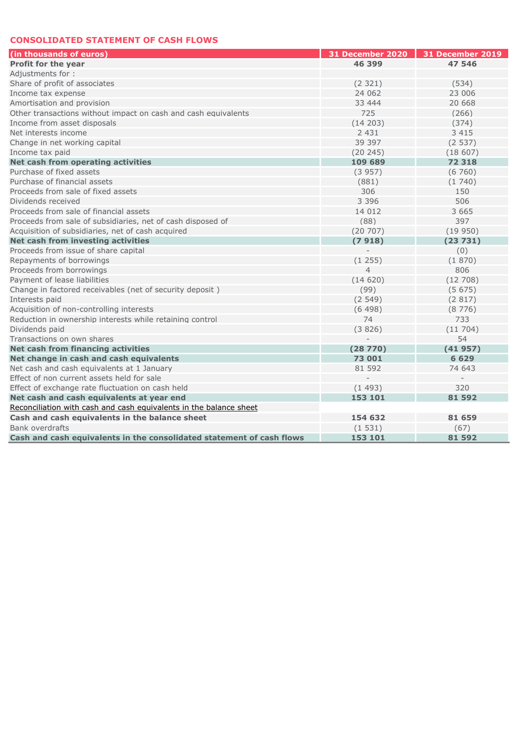#### **CONSOLIDATED STATEMENT OF CASH FLOWS**

| (in thousands of euros)                                               | 31 December 2020 | 31 December 2019 |
|-----------------------------------------------------------------------|------------------|------------------|
| <b>Profit for the year</b>                                            | 46 399           | 47 546           |
| Adiustments for:                                                      |                  |                  |
| Share of profit of associates                                         | (2 321)          | (534)            |
| Income tax expense                                                    | 24 062           | 23 006           |
| Amortisation and provision                                            | 33 444           | 20 668           |
| Other transactions without impact on cash and cash equivalents        | 725              | (266)            |
| Income from asset disposals                                           | (14 203)         | (374)            |
| Net interests income                                                  | 2 4 3 1          | 3 4 1 5          |
| Change in net working capital                                         | 39 397           | (2537)           |
| Income tax paid                                                       | (20 245)         | (18607)          |
| Net cash from operating activities                                    | 109 689          | 72 318           |
| Purchase of fixed assets                                              | (3957)           | (6760)           |
| Purchase of financial assets                                          | (881)            | (1740)           |
| Proceeds from sale of fixed assets                                    | 306              | 150              |
| Dividends received                                                    | 3 3 9 6          | 506              |
| Proceeds from sale of financial assets                                | 14 012           | 3 6 6 5          |
| Proceeds from sale of subsidiaries, net of cash disposed of           | (88)             | 397              |
| Acquisition of subsidiaries, net of cash acquired                     | (20707)          | (19950)          |
| Net cash from investing activities                                    | (7918)           | (23731)          |
| Proceeds from issue of share capital                                  |                  | (0)              |
| Repayments of borrowings                                              | (1255)           | (1870)           |
| Proceeds from borrowings                                              | $\overline{4}$   | 806              |
| Payment of lease liabilities                                          | (14620)          | (12708)          |
| Change in factored receivables (net of security deposit)              | (99)             | (5675)           |
| Interests paid                                                        | (2549)           | (2817)           |
| Acquisition of non-controlling interests                              | (6498)           | (8776)           |
| Reduction in ownership interests while retaining control              | 74               | 733              |
| Dividends paid                                                        | (3826)           | (11704)          |
| Transactions on own shares                                            |                  | 54               |
| Net cash from financing activities                                    | (28770)          | (41957)          |
| Net change in cash and cash equivalents                               | 73 001           | 6 6 2 9          |
| Net cash and cash equivalents at 1 January                            | 81 592           | 74 643           |
| Effect of non current assets held for sale                            |                  |                  |
| Effect of exchange rate fluctuation on cash held                      | (1493)           | 320              |
| Net cash and cash equivalents at year end                             | 153 101          | 81 592           |
| Reconciliation with cash and cash equivalents in the balance sheet    |                  |                  |
| Cash and cash equivalents in the balance sheet                        | 154 632          | 81 659           |
| Bank overdrafts                                                       | (1531)           | (67)             |
| Cash and cash equivalents in the consolidated statement of cash flows | 153 101          | 81 592           |